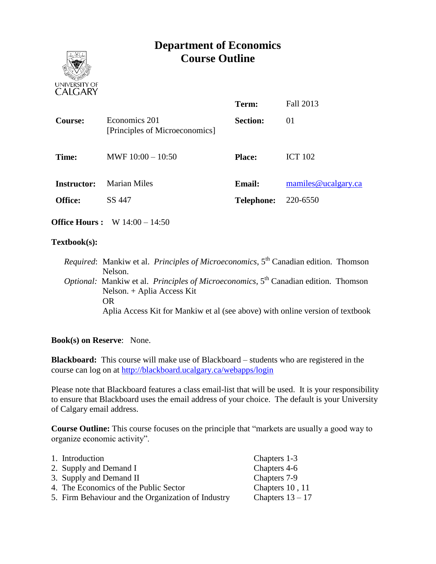# **Department of Economics Course Outline**



|                    |                                                 | Term:             | <b>Fall 2013</b>    |
|--------------------|-------------------------------------------------|-------------------|---------------------|
| <b>Course:</b>     | Economics 201<br>[Principles of Microeconomics] | <b>Section:</b>   | 01                  |
| Time:              | MWF $10:00 - 10:50$                             | <b>Place:</b>     | <b>ICT 102</b>      |
| <b>Instructor:</b> | <b>Marian Miles</b>                             | <b>Email:</b>     | mamiles@ucalgary.ca |
| <b>Office:</b>     | SS 447                                          | <b>Telephone:</b> | 220-6550            |
|                    |                                                 |                   |                     |

**Office Hours :** W 14:00 – 14:50

#### **Textbook(s):**

*Required*: Mankiw et al. *Principles of Microeconomics*, 5<sup>th</sup> Canadian edition. Thomson Nelson. *Optional:* Mankiw et al. *Principles of Microeconomics*, 5<sup>th</sup> Canadian edition. Thomson Nelson. + Aplia Access Kit OR Aplia Access Kit for Mankiw et al (see above) with online version of textbook

#### **Book(s) on Reserve**: None.

**Blackboard:** This course will make use of Blackboard – students who are registered in the course can log on at<http://blackboard.ucalgary.ca/webapps/login>

Please note that Blackboard features a class email-list that will be used. It is your responsibility to ensure that Blackboard uses the email address of your choice. The default is your University of Calgary email address.

**Course Outline:** This course focuses on the principle that "markets are usually a good way to organize economic activity".

| 1. Introduction                                    | Chapters 1-3       |
|----------------------------------------------------|--------------------|
| 2. Supply and Demand I                             | Chapters 4-6       |
| 3. Supply and Demand II                            | Chapters 7-9       |
| 4. The Economics of the Public Sector              | Chapters 10, 11    |
| 5. Firm Behaviour and the Organization of Industry | Chapters $13 - 17$ |
|                                                    |                    |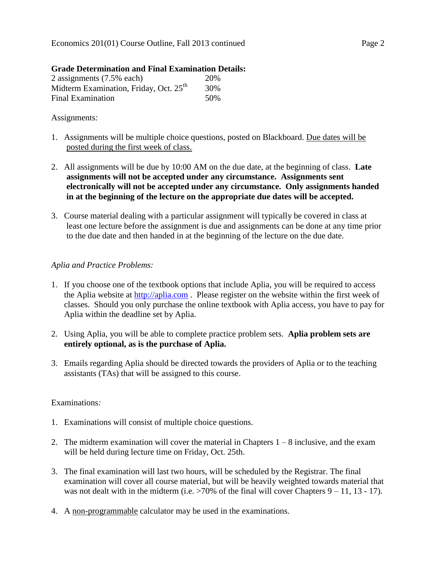#### **Grade Determination and Final Examination Details:**

| 2 assignments (7.5% each)                          | 20%  |
|----------------------------------------------------|------|
| Midterm Examination, Friday, Oct. 25 <sup>th</sup> | 30%  |
| <b>Final Examination</b>                           | .50% |

### Assignments*:*

- 1. Assignments will be multiple choice questions, posted on Blackboard. Due dates will be posted during the first week of class.
- 2. All assignments will be due by 10:00 AM on the due date, at the beginning of class. **Late assignments will not be accepted under any circumstance. Assignments sent electronically will not be accepted under any circumstance. Only assignments handed in at the beginning of the lecture on the appropriate due dates will be accepted.**
- 3. Course material dealing with a particular assignment will typically be covered in class at least one lecture before the assignment is due and assignments can be done at any time prior to the due date and then handed in at the beginning of the lecture on the due date.

# *Aplia and Practice Problems:*

- 1. If you choose one of the textbook options that include Aplia, you will be required to access the Aplia website at [http://aplia.com](http://aplia.com/) . Please register on the website within the first week of classes. Should you only purchase the online textbook with Aplia access, you have to pay for Aplia within the deadline set by Aplia.
- 2. Using Aplia, you will be able to complete practice problem sets. **Aplia problem sets are entirely optional, as is the purchase of Aplia.**
- 3. Emails regarding Aplia should be directed towards the providers of Aplia or to the teaching assistants (TAs) that will be assigned to this course.

# Examinations*:*

- 1. Examinations will consist of multiple choice questions.
- 2. The midterm examination will cover the material in Chapters  $1 8$  inclusive, and the exam will be held during lecture time on Friday, Oct. 25th.
- 3. The final examination will last two hours, will be scheduled by the Registrar. The final examination will cover all course material, but will be heavily weighted towards material that was not dealt with in the midterm (i.e.  $>70\%$  of the final will cover Chapters  $9 - 11$ , 13 - 17).
- 4. A non-programmable calculator may be used in the examinations.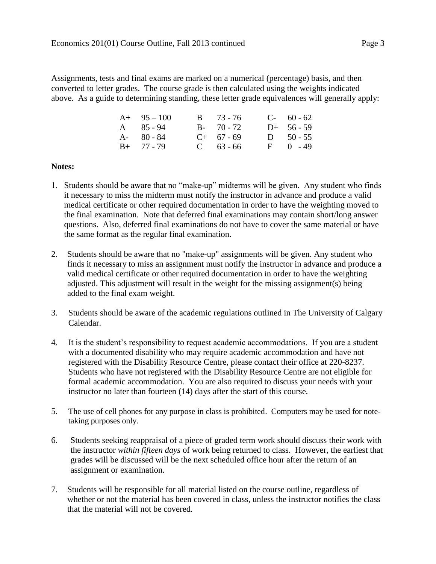Assignments, tests and final exams are marked on a numerical (percentage) basis, and then converted to letter grades. The course grade is then calculated using the weights indicated above. As a guide to determining standing, these letter grade equivalences will generally apply:

| $A+ 95-100$       | $B = 73 - 76$ | $C-60-62$     |
|-------------------|---------------|---------------|
| $A \quad 85 - 94$ | $B - 70 - 72$ | $D+ 56-59$    |
| $A - 80 - 84$     | $C+ 67 - 69$  | $D = 50 - 55$ |
| $B+ 77 - 79$      | $C = 63 - 66$ | $F = 0 - 49$  |

#### **Notes:**

- 1. Students should be aware that no "make-up" midterms will be given. Any student who finds it necessary to miss the midterm must notify the instructor in advance and produce a valid medical certificate or other required documentation in order to have the weighting moved to the final examination. Note that deferred final examinations may contain short/long answer questions. Also, deferred final examinations do not have to cover the same material or have the same format as the regular final examination.
- 2. Students should be aware that no "make-up" assignments will be given. Any student who finds it necessary to miss an assignment must notify the instructor in advance and produce a valid medical certificate or other required documentation in order to have the weighting adjusted. This adjustment will result in the weight for the missing assignment(s) being added to the final exam weight.
- 3. Students should be aware of the academic regulations outlined in The University of Calgary Calendar.
- 4. It is the student's responsibility to request academic accommodations. If you are a student with a documented disability who may require academic accommodation and have not registered with the Disability Resource Centre, please contact their office at 220-8237. Students who have not registered with the Disability Resource Centre are not eligible for formal academic accommodation. You are also required to discuss your needs with your instructor no later than fourteen (14) days after the start of this course.
- 5. The use of cell phones for any purpose in class is prohibited. Computers may be used for notetaking purposes only.
- 6. Students seeking reappraisal of a piece of graded term work should discuss their work with the instructor *within fifteen days* of work being returned to class. However, the earliest that grades will be discussed will be the next scheduled office hour after the return of an assignment or examination.
- 7. Students will be responsible for all material listed on the course outline, regardless of whether or not the material has been covered in class, unless the instructor notifies the class that the material will not be covered.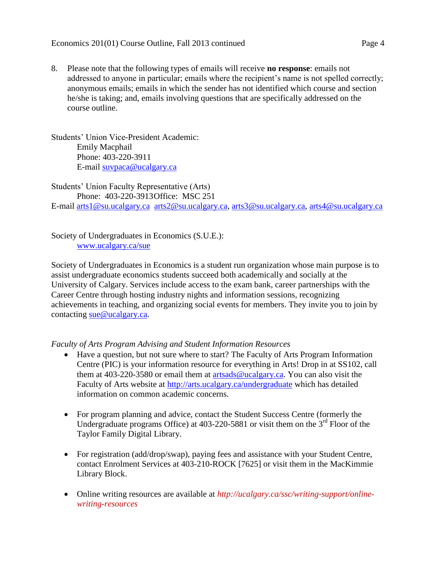8. Please note that the following types of emails will receive **no response**: emails not addressed to anyone in particular; emails where the recipient's name is not spelled correctly; anonymous emails; emails in which the sender has not identified which course and section he/she is taking; and, emails involving questions that are specifically addressed on the course outline.

Students' Union Vice-President Academic: Emily Macphail Phone: 403-220-3911 E-mail [suvpaca@ucalgary.ca](mailto:subpaca@ucalgary.ca)

Students' Union Faculty Representative (Arts) Phone: 403-220-3913Office: MSC 251 E-mail [arts1@su.ucalgary.ca](mailto:arts1@su.ucalgary.ca) [arts2@su.ucalgary.ca,](mailto:arts2@su.ucalgary.ca) [arts3@su.ucalgary.ca,](mailto:arts3@su.ucalgary.ca) [arts4@su.ucalgary.ca](mailto:arts4@su.ucalgary.ca)

Society of Undergraduates in Economics (S.U.E.): [www.ucalgary.ca/sue](http://www.fp.ucalgary.ca/econ)

Society of Undergraduates in Economics is a student run organization whose main purpose is to assist undergraduate economics students succeed both academically and socially at the University of Calgary. Services include access to the exam bank, career partnerships with the Career Centre through hosting industry nights and information sessions, recognizing achievements in teaching, and organizing social events for members. They invite you to join by contacting [sue@ucalgary.ca.](mailto:sue@ucalgary.ca)

*Faculty of Arts Program Advising and Student Information Resources*

- Have a question, but not sure where to start? The Faculty of Arts Program Information Centre (PIC) is your information resource for everything in Arts! Drop in at SS102, call them at 403-220-3580 or email them at [artsads@ucalgary.ca.](mailto:artsads@ucalgary.ca) You can also visit the Faculty of Arts website at<http://arts.ucalgary.ca/undergraduate> which has detailed information on common academic concerns.
- For program planning and advice, contact the Student Success Centre (formerly the Undergraduate programs Office) at  $403-220-5881$  or visit them on the  $3<sup>rd</sup>$  Floor of the Taylor Family Digital Library.
- For registration (add/drop/swap), paying fees and assistance with your Student Centre, contact Enrolment Services at 403-210-ROCK [7625] or visit them in the MacKimmie Library Block.
- Online writing resources are available at *http://ucalgary.ca/ssc/writing-support/onlinewriting-resources*